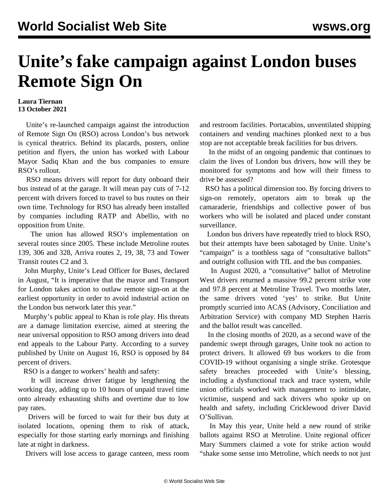## **Unite's fake campaign against London buses Remote Sign On**

## **Laura Tiernan 13 October 2021**

 Unite's re-launched campaign against the introduction of Remote Sign On (RSO) across London's bus network is cynical theatrics. Behind its placards, posters, online petition and flyers, the union has worked with Labour Mayor Sadiq Khan and the bus companies to ensure RSO's rollout.

 RSO means drivers will report for duty onboard their bus instead of at the garage. It will mean pay cuts of 7-12 percent with drivers forced to travel to bus routes on their own time. Technology for RSO has already been installed by companies including RATP and Abellio, with no opposition from Unite.

 The union has allowed RSO's implementation on several routes since 2005. These include Metroline routes 139, 306 and 328, Arriva routes 2, 19, 38, 73 and Tower Transit routes C2 and 3.

 John Murphy, Unite's Lead Officer for Buses, declared in August, "It is imperative that the mayor and Transport for London takes action to outlaw remote sign-on at the earliest opportunity in order to avoid industrial action on the London bus network later this year."

 Murphy's public appeal to Khan is role play. His threats are a damage limitation exercise, aimed at steering the near universal opposition to RSO among drivers into dead end appeals to the Labour Party. According to a survey published by Unite on August 16, RSO is opposed by 84 percent of drivers.

RSO is a danger to workers' health and safety:

 It will increase driver fatigue by lengthening the working day, adding up to 10 hours of unpaid travel time onto already exhausting shifts and overtime due to low pay rates.

 Drivers will be forced to wait for their bus duty at isolated locations, opening them to risk of attack, especially for those starting early mornings and finishing late at night in darkness.

Drivers will lose access to garage canteen, mess room

and restroom facilities. Portacabins, unventilated shipping containers and vending machines plonked next to a bus stop are not acceptable break facilities for bus drivers.

 In the midst of an ongoing pandemic that [continues to](/en/articles/2021/10/10/osul-o10.html) [claim the lives](/en/articles/2021/10/10/osul-o10.html) of London bus drivers, how will they be monitored for symptoms and how will their fitness to drive be assessed?

 RSO has a political dimension too. By forcing drivers to sign-on remotely, operators aim to break up the camaraderie, friendships and collective power of bus workers who will be isolated and placed under constant surveillance.

 London bus drivers have repeatedly tried to block RSO, but their attempts have been [sabotaged by Unite](/en/articles/2021/05/29/metr-m29.html). Unite's "campaign" is a toothless saga of "consultative ballots" and outright collusion with TfL and the bus companies.

 In August 2020, a "consultative" ballot of Metroline West drivers returned a massive 99.2 percent strike vote and 97.8 percent at Metroline Travel. Two months later, the same drivers voted 'yes' to strike. But Unite promptly [scurried into](/en/articles/2020/11/02/metr-n02.html) ACAS (Advisory, Conciliation and Arbitration Service) with company MD Stephen Harris and the ballot result was cancelled.

 In the closing months of 2020, as a second wave of the pandemic swept through garages, Unite took no action to protect drivers. It allowed 69 bus workers to die from COVID-19 without organising a single strike. Grotesque safety breaches proceeded with Unite's blessing, including a dysfunctional track and trace system, while union officials worked with management to intimidate, victimise, suspend and [sack drivers](https://www.crowdjustice.com/case/test-case-for-key-worker-rights-during-pandemic/) who spoke up on health and safety, including Cricklewood driver David O'Sullivan.

 In May this year, Unite held a new round of strike ballots against RSO at Metroline. Unite regional officer Mary Summers claimed a vote for strike action would "shake some sense into Metroline, which needs to not just